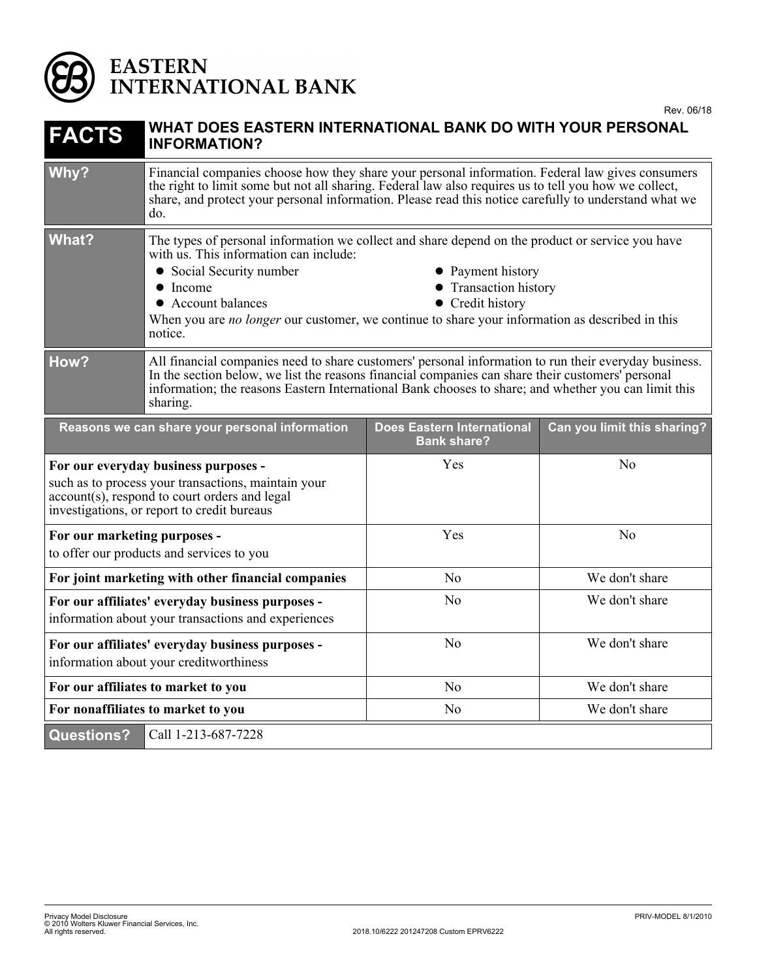

## EASTERN<br>INTERNATIONAL BANK

| <b>FACTS</b>                                                                                                                                                                                | WHAT DOES EASTERN INTERNATIONAL BANK DO WITH YOUR PERSONAL<br><b>INFORMATION?</b>                                                                                                                                                                                                                                                                                                        |                                                         |                             |
|---------------------------------------------------------------------------------------------------------------------------------------------------------------------------------------------|------------------------------------------------------------------------------------------------------------------------------------------------------------------------------------------------------------------------------------------------------------------------------------------------------------------------------------------------------------------------------------------|---------------------------------------------------------|-----------------------------|
| Why?                                                                                                                                                                                        | Financial companies choose how they share your personal information. Federal law gives consumers<br>the right to limit some but not all sharing. Federal law also requires us to tell you how we collect,<br>share, and protect your personal information. Please read this notice carefully to understand what we<br>do.                                                                |                                                         |                             |
| <b>What?</b>                                                                                                                                                                                | The types of personal information we collect and share depend on the product or service you have<br>with us. This information can include:<br>• Social Security number<br>• Payment history<br>• Transaction history<br>• Income<br>• Account balances<br>• Credit history<br>When you are no longer our customer, we continue to share your information as described in this<br>notice. |                                                         |                             |
| How?                                                                                                                                                                                        | All financial companies need to share customers' personal information to run their everyday business.<br>In the section below, we list the reasons financial companies can share their customers' personal<br>information; the reasons Eastern International Bank chooses to share; and whether you can limit this<br>sharing.                                                           |                                                         |                             |
| Reasons we can share your personal information                                                                                                                                              |                                                                                                                                                                                                                                                                                                                                                                                          | <b>Does Eastern International</b><br><b>Bank share?</b> | Can you limit this sharing? |
| For our everyday business purposes -<br>such as to process your transactions, maintain your<br>account(s), respond to court orders and legal<br>investigations, or report to credit bureaus |                                                                                                                                                                                                                                                                                                                                                                                          | Yes                                                     | No                          |
| For our marketing purposes -<br>to offer our products and services to you                                                                                                                   |                                                                                                                                                                                                                                                                                                                                                                                          | Yes                                                     | No                          |
| For joint marketing with other financial companies                                                                                                                                          |                                                                                                                                                                                                                                                                                                                                                                                          | N <sub>o</sub>                                          | We don't share              |
| For our affiliates' everyday business purposes -<br>information about your transactions and experiences                                                                                     |                                                                                                                                                                                                                                                                                                                                                                                          | No                                                      | We don't share              |
| For our affiliates' everyday business purposes -<br>information about your creditworthiness                                                                                                 |                                                                                                                                                                                                                                                                                                                                                                                          | N <sub>o</sub>                                          | We don't share              |
| For our affiliates to market to you                                                                                                                                                         |                                                                                                                                                                                                                                                                                                                                                                                          | N <sub>o</sub>                                          | We don't share              |
| For nonaffiliates to market to you                                                                                                                                                          |                                                                                                                                                                                                                                                                                                                                                                                          | N <sub>o</sub>                                          | We don't share              |
| <b>Questions?</b>                                                                                                                                                                           | Call 1-213-687-7228                                                                                                                                                                                                                                                                                                                                                                      |                                                         |                             |